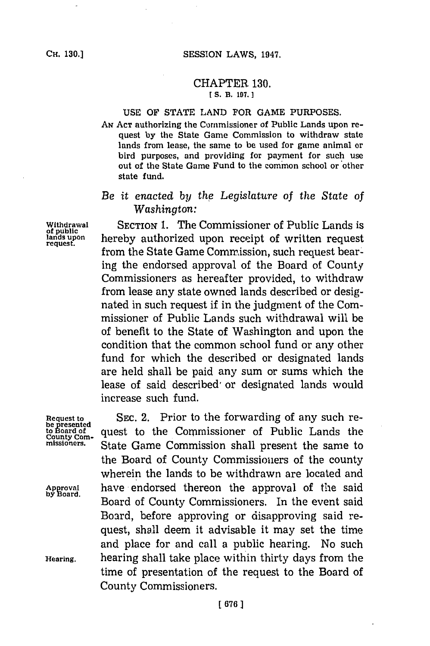#### CHAPTER **130. [ S.** B. **197.1**

#### **USE** OF **STATE LAND** FOR **GAME PURPOSES.**

**AN ACT** authorizing the Commissioner of Public Lands upon request **by** the State Game Commission to withdraw state lands from lease, the same to be used for game animal or bird purposes, and providing for payment for such use out of the State Game Fund to the common school or other state fund.

# *Be it enacted by th 'e Legislature of the State of Washington:*

Withdrawal SECTION 1. The Commissioner of Public Lands is<br> **1. Index** upon **percept** authorized upon receipt of written request **lands** upon **hereby** authorized upon receipt of written request from the State Game Commission, such request bearing the endorsed approval of the Board of County Commissioners as hereafter provided, to withdraw from lease any state owned lands described or designated in such request if in the judgment of the Commissioner of Public Lands such withdrawal will be of benefit to the State of Washington and upon the condition that the common school fund or any other fund for which the described or designated lands are held shall be paid any sum or sums which the lease of said described or designated lands would increase such fund.

Request to SEC. 2. Prior to the forwarding of any such re-<br>be presented<br>to Board of quest to the Commissioner of Public Lands the be presented<br>county com-<br>missioners. State Came Commission shall present the same to<br>missioners. State Came Commission shall present the same to State Game Commission shall present the same to the Board of County Commissioners of the county wherein the lands to be withdrawn are located and Approval have endorsed thereon the approval of the said Board of County Commissioners. In the event said Board, before approving or disapproving said request, shall deem it advisable it may set the time and place for and call a public hearing. No such **Hearing,** hearing shall take place within thirty days from the time of presentation of the request to the Board of County Commissioners.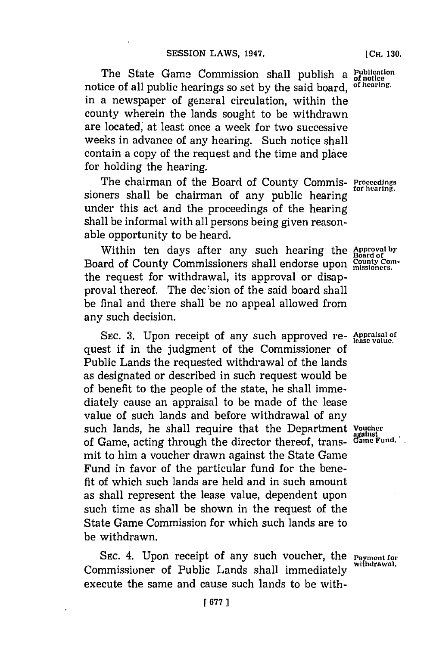The State Game Commission shall publish a Publicat notice of all public hearings so set **by** the said board, **of hearing.** in a newspaper of general circulation, within the county wherein the lands sought to be withdrawn are located, at least once a week for two successive weeks in advance of any hearing. Such notice shall contain a copy of the request and the time and place for holding the hearing.

The chairman of the Board of County Commis- **Proceedings** for hearing. sioners shall be chairman of any public hearing under this act and the proceedings of the hearing shall be informal with all persons being given reasonable opportunity to be heard.

Within ten days after any such hearing the **Approval by Board of** Board of County Commissioners shall endorse upon County Con the request for withdrawal, its approval or disapproval thereof. The decision of the said board shall be final and there shall be no appeal allowed from any such decision.

**SEC. 3.** Upon receipt of any such approved re- **Appraisal of lease value.** quest if in the judgment of the Commissioner of Public Lands the requested withdrawal of the lands as designated or described in such request would be of benefit to the people of the state, he shall immediately cause an appraisal to be made of the lease value of such lands and before withdrawal of any such lands, he shall require that the Department *Voucher*<br>of Game acting through the director thereof trans. Game Fund. of Game, acting through the director thereof, transmit to him a voucher drawn against the State Game Fund in favor of the particular fund for the benefit of which such lands are held and in such amount as shall represent the lease value, dependent upon such time as shall be shown in the request of the State Game Commission for which such lands are to be withdrawn.

**SEC.** 4. Upon receipt of any such voucher, the **Payment for** Commissioner of Public Lands shall immediately execute the same and cause such lands to be with-